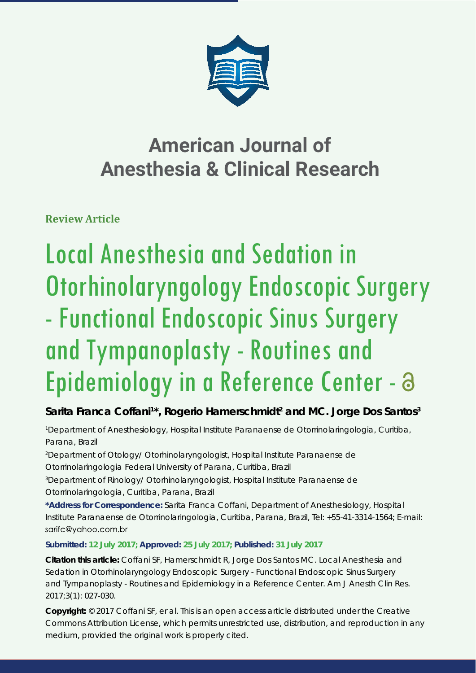

# **American Journal of Anesthesia & Clinical Research**

**Review Article**

# Local Anesthesia and Sedation in Otorhinolaryngology Endoscopic Surgery - Functional Endoscopic Sinus Surgery and Tympanoplasty - Routines and Epidemiology in a Reference Center -

## Sarita Franca Coffani<sup>1\*</sup>, Rogerio Hamerschmidt<sup>2</sup> and MC. Jorge Dos Santos<sup>3</sup>

*1 Department of Anesthesiology, Hospital Institute Paranaense de Otorrinolaringologia, Curitiba, Parana, Brazil*

*2 Department of Otology/ Otorhinolaryngologist, Hospital Institute Paranaense de Otorrinolaringologia Federal University of Parana, Curitiba, Brazil*

*3 Department of Rinology/ Otorhinolaryngologist, Hospital Institute Paranaense de Otorrinolaringologia, Curitiba, Parana, Brazil*

**\*Address for Correspondence:** Sarita Franca Coffani, Department of Anesthesiology, Hospital Institute Paranaense de Otorrinolaringologia, Curitiba, Parana, Brazil, Tel: +55-41-3314-1564; E-mail: sarifc@yahoo.com.br

### **Submitted: 12 July 2017; Approved: 25 July 2017; Published: 31 July 2017**

**Citation this article:** Coffani SF, Hamerschmidt R, Jorge Dos Santos MC. Local Anesthesia and Sedation in Otorhinolaryngology Endoscopic Surgery - Functional Endoscopic Sinus Surgery and Tympanoplasty - Routines and Epidemiology in a Reference Center. Am J Anesth Clin Res. 2017;3(1): 027-030.

**Copyright:** © 2017 Coffani SF, er al. This is an open access article distributed under the Creative Commons Attribution License, which permits unrestricted use, distribution, and reproduction in any medium, provided the original work is properly cited.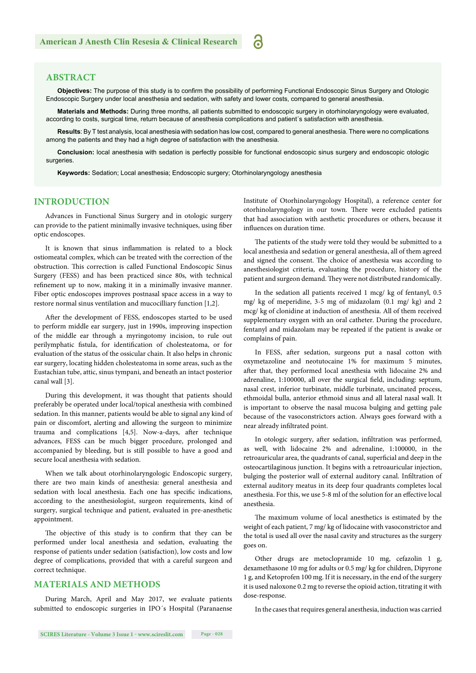#### **ABSTRACT**

Objectives: The purpose of this study is to confirm the possibility of performing Functional Endoscopic Sinus Surgery and Otologic Endoscopic Surgery under local anesthesia and sedation, with safety and lower costs, compared to general anesthesia.

്

**Materials and Methods:** During three months, all patients submitted to endoscopic surgery in otorhinolaryngology were evaluated, according to costs, surgical time, return because of anesthesia complications and patient´s satisfaction with anesthesia.

**Results**: By T test analysis, local anesthesia with sedation has low cost, compared to general anesthesia. There were no complications among the patients and they had a high degree of satisfaction with the anesthesia.

**Conclusion:** local anesthesia with sedation is perfectly possible for functional endoscopic sinus surgery and endoscopic otologic surgeries.

**Keywords:** Sedation; Local anesthesia; Endoscopic surgery; Otorhinolaryngology anesthesia

#### **INTRODUCTION**

Advances in Functional Sinus Surgery and in otologic surgery can provide to the patient minimally invasive techniques, using fiber optic endoscopes.

It is known that sinus inflammation is related to a block ostiomeatal complex, which can be treated with the correction of the obstruction. This correction is called Functional Endoscopic Sinus Surgery (FESS) and has been practiced since 80s, with technical refinement up to now, making it in a minimally invasive manner. Fiber optic endoscopes improves postnasal space access in a way to restore normal sinus ventilation and mucocilliary function [1,2].

After the development of FESS, endoscopes started to be used to perform middle ear surgery, just in 1990s, improving inspection of the middle ear through a myringotomy incision, to rule out perilymphatic fistula, for identification of cholesteatoma, or for evaluation of the status of the ossicular chain. It also helps in chronic ear surgery, locating hidden cholesteatoma in some areas, such as the Eustachian tube, attic, sinus tympani, and beneath an intact posterior canal wall [3].

During this development, it was thought that patients should preferably be operated under local/topical anesthesia with combined sedation. In this manner, patients would be able to signal any kind of pain or discomfort, alerting and allowing the surgeon to minimize trauma and complications [4,5]. Now-a-days, after technique advances, FESS can be much bigger procedure, prolonged and accompanied by bleeding, but is still possible to have a good and secure local anesthesia with sedation.

When we talk about otorhinolaryngologic Endoscopic surgery, there are two main kinds of anesthesia: general anesthesia and sedation with local anesthesia. Each one has specific indications, according to the anesthesiologist, surgeon requirements, kind of surgery, surgical technique and patient, evaluated in pre-anesthetic appointment.

The objective of this study is to confirm that they can be performed under local anesthesia and sedation, evaluating the response of patients under sedation (satisfaction), low costs and low degree of complications, provided that with a careful surgeon and correct technique.

#### **MATERIALS AND METHODS**

During March, April and May 2017, we evaluate patients submitted to endoscopic surgeries in IPO´s Hospital (Paranaense Institute of Otorhinolaryngology Hospital), a reference center for otorhinolaryngology in our town. There were excluded patients that had association with aesthetic procedures or others, because it influences on duration time.

The patients of the study were told they would be submitted to a local anesthesia and sedation or general anesthesia, all of them agreed and signed the consent. The choice of anesthesia was according to anesthesiologist criteria, evaluating the procedure, history of the patient and surgeon demand. They were not distributed randomically.

In the sedation all patients received 1 mcg/ kg of fentanyl, 0.5 mg/ kg of meperidine, 3-5 mg of midazolam (0.1 mg/ kg) and 2 mcg/ kg of clonidine at induction of anesthesia. All of them received supplementary oxygen with an oral catheter. During the procedure, fentanyl and midazolam may be repeated if the patient is awake or complains of pain.

In FESS, after sedation, surgeons put a nasal cotton with oxymetazoline and neotutocaine 1% for maximum 5 minutes, after that, they performed local anesthesia with lidocaine 2% and adrenaline, 1:100000, all over the surgical field, including: septum, nasal crest, inferior turbinate, middle turbinate, uncinated process, ethmoidal bulla, anterior ethmoid sinus and all lateral nasal wall. It is important to observe the nasal mucosa bulging and getting pale because of the vasoconstrictors action. Always goes forward with a near already infiltrated point.

In otologic surgery, after sedation, infiltration was performed, as well, with lidocaine 2% and adrenaline, 1:100000, in the retroauricular area, the quadrants of canal, superficial and deep in the osteocartilaginous junction. It begins with a retroauricular injection, bulging the posterior wall of external auditory canal. Infiltration of external auditory meatus in its deep four quadrants completes local anesthesia. For this, we use 5-8 ml of the solution for an effective local anesthesia.

The maximum volume of local anesthetics is estimated by the weight of each patient, 7 mg/ kg of lidocaine with vasoconstrictor and the total is used all over the nasal cavity and structures as the surgery goes on.

Other drugs are metoclopramide 10 mg, cefazolin 1 g, dexamethasone 10 mg for adults or 0.5 mg/ kg for children, Dipyrone 1 g, and Ketoprofen 100 mg. If it is necessary, in the end of the surgery it is used naloxone 0.2 mg to reverse the opioid action, titrating it with dose-response.

In the cases that requires general anesthesia, induction was carried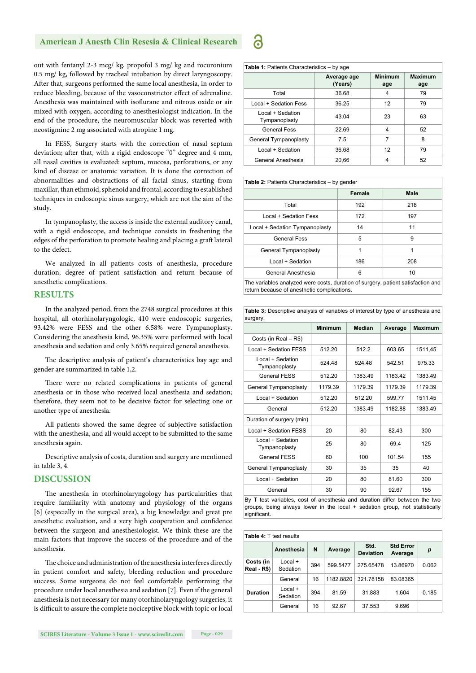#### **American J Anesth Clin Resesia & Clinical Research**

out with fentanyl 2-3 mcg/ kg, propofol 3 mg/ kg and rocuronium 0.5 mg/ kg, followed by tracheal intubation by direct laryngoscopy. After that, surgeons performed the same local anesthesia, in order to reduce bleeding, because of the vasoconstrictor effect of adrenaline. Anesthesia was maintained with isoflurane and nitrous oxide or air mixed with oxygen, according to anesthesiologist indication. In the end of the procedure, the neuromuscular block was reverted with neostigmine 2 mg associated with atropine 1 mg.

In FESS, Surgery starts with the correction of nasal septum deviation; after that, with a rigid endoscope "0" degree and 4 mm, all nasal cavities is evaluated: septum, mucosa, perforations, or any kind of disease or anatomic variation. It is done the correction of abnormalities and obstructions of all facial sinus, starting from maxillar, than ethmoid, sphenoid and frontal, according to established techniques in endoscopic sinus surgery, which are not the aim of the study.

In tympanoplasty, the access is inside the external auditory canal, with a rigid endoscope, and technique consists in freshening the edges of the perforation to promote healing and placing a graft lateral to the defect.

We analyzed in all patients costs of anesthesia, procedure duration, degree of patient satisfaction and return because of anesthetic complications.

#### **RESULTS**

In the analyzed period, from the 2748 surgical procedures at this hospital, all otorhinolaryngologic, 410 were endoscopic surgeries, 93.42% were FESS and the other 6.58% were Tympanoplasty. Considering the anesthesia kind, 96.35% were performed with local anesthesia and sedation and only 3.65% required general anesthesia.

The descriptive analysis of patient's characteristics bay age and gender are summarized in table 1,2.

There were no related complications in patients of general anesthesia or in those who received local anesthesia and sedation; therefore, they seem not to be decisive factor for selecting one or another type of anesthesia.

All patients showed the same degree of subjective satisfaction with the anesthesia, and all would accept to be submitted to the same anesthesia again.

Descriptive analysis of costs, duration and surgery are mentioned in table 3, 4.

#### **DISCUSSION**

The anesthesia in otorhinolaryngology has particularities that require familiarity with anatomy and physiology of the organs [6] (especially in the surgical area), a big knowledge and great pre anesthetic evaluation, and a very high cooperation and confidence between the surgeon and anesthesiologist. We think these are the main factors that improve the success of the procedure and of the anesthesia.

The choice and administration of the anesthesia interferes directly in patient comfort and safety, bleeding reduction and procedure success. Some surgeons do not feel comfortable performing the procedure under local anesthesia and sedation [7]. Even if the general anesthesia is not necessary for many otorhinolaryngology surgeries, it is difficult to assure the complete nociceptive block with topic or local

| <b>Table 1: Patients Characteristics - by age</b> |                        |                       |                       |  |  |
|---------------------------------------------------|------------------------|-----------------------|-----------------------|--|--|
|                                                   | Average age<br>(Years) | <b>Minimum</b><br>age | <b>Maximum</b><br>age |  |  |
| Total                                             | 36.68                  | 4                     | 79                    |  |  |
| Local + Sedation Fess                             | 36.25                  | 12                    | 79                    |  |  |
| Local + Sedation<br>Tympanoplasty                 | 43.04                  | 23                    | 63                    |  |  |
| General Fess                                      | 22.69                  | 4                     | 52                    |  |  |
| General Tympanoplasty                             | 7.5                    | 7                     | 8                     |  |  |
| Local + Sedation                                  | 36.68                  | 12                    | 79                    |  |  |
| General Anesthesia                                | 20.66                  | 4                     | 52                    |  |  |

| <b>Table 2: Patients Characteristics - by gender</b>                                                                           |        |             |  |  |
|--------------------------------------------------------------------------------------------------------------------------------|--------|-------------|--|--|
|                                                                                                                                | Female | <b>Male</b> |  |  |
| Total                                                                                                                          | 192    | 218         |  |  |
| Local + Sedation Fess                                                                                                          | 172    | 197         |  |  |
| Local + Sedation Tympanoplasty                                                                                                 | 14     | 11          |  |  |
| <b>General Fess</b>                                                                                                            | 5      | 9           |  |  |
| General Tympanoplasty                                                                                                          | 1      | 1           |  |  |
| Local + Sedation                                                                                                               | 186    | 208         |  |  |
| General Anesthesia                                                                                                             | 6      | 10          |  |  |
| The variables analyzed were costs, duration of surgery, patient satisfaction and<br>return because of anesthetic complications |        |             |  |  |

**Table 3:** Descriptive analysis of variables of interest by type of anesthesia and

| surgery.                          |                |               |         |                |
|-----------------------------------|----------------|---------------|---------|----------------|
|                                   | <b>Minimum</b> | <b>Median</b> | Average | <b>Maximum</b> |
| Costs (in Real – R\$)             |                |               |         |                |
| Local + Sedation FESS             | 512.20         | 512.2         | 603.65  | 1511,45        |
| Local + Sedation<br>Tympanoplasty | 524.48         | 524.48        | 542.51  | 975.33         |
| <b>General FESS</b>               | 512.20         | 1383.49       | 1183.42 | 1383.49        |
| General Tympanoplasty             | 1179.39        | 1179.39       | 117939  | 1179.39        |
| Local + Sedation                  | 512.20         | 512.20        | 599.77  | 1511.45        |
| General                           | 512.20         | 1383.49       | 1182.88 | 1383.49        |
| Duration of surgery (min)         |                |               |         |                |
| Local + Sedation FESS             | 20             | 80            | 8243    | 300            |
| Local + Sedation<br>Tympanoplasty | 25             | 80            | 69.4    | 125            |
| <b>General FESS</b>               | 60             | 100           | 101.54  | 155            |
| General Tympanoplasty             | 30             | 35            | 35      | 40             |
| Local + Sedation                  | 20             | 80            | 81.60   | 300            |
| General                           | 30             | 90            | 92.67   | 155            |

By T test variables, cost of anesthesia and duration differ between the two groups, being always lower in the local + sedation group, not statistically significant

| <b>Table 4: T test results</b> |                       |     |           |                          |                             |       |
|--------------------------------|-----------------------|-----|-----------|--------------------------|-----------------------------|-------|
|                                | Anesthesia            | N   | Average   | Std.<br><b>Deviation</b> | <b>Std Error</b><br>Average | p     |
| Costs (in<br>Real - R\$)       | $Local +$<br>Sedation | 394 | 599.5477  | 275.65478                | 13.86970                    | 0.062 |
|                                | General               | 16  | 1182.8820 | 321.78158                | 83.08365                    |       |
| <b>Duration</b>                | $Local +$<br>Sedation | 394 | 81.59     | 31.883                   | 1.604                       | 0.185 |
|                                | General               | 16  | 92.67     | 37.553                   | 9.696                       |       |